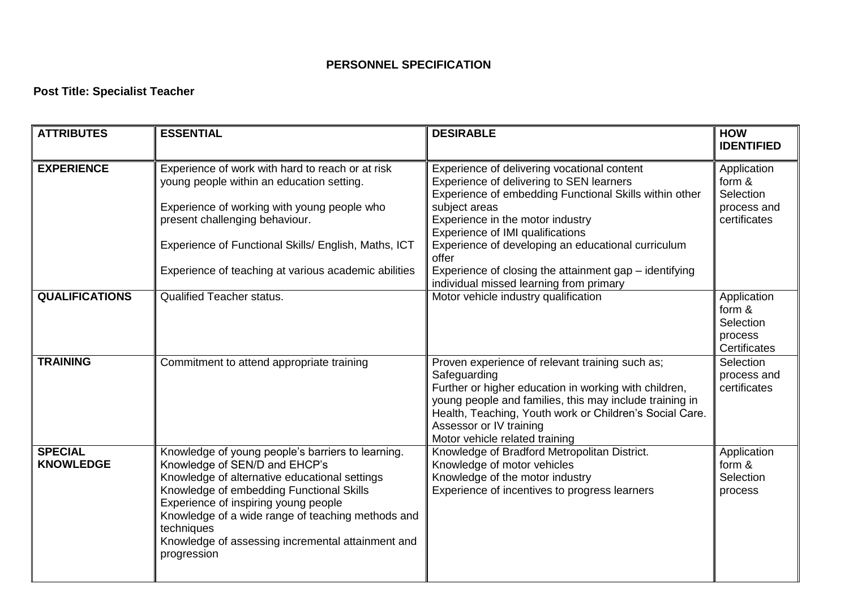## **PERSONNEL SPECIFICATION**

## **Post Title: Specialist Teacher**

| <b>ATTRIBUTES</b>                  | <b>ESSENTIAL</b>                                                                                                                                                                                                                                                                                                                                               | <b>DESIRABLE</b>                                                                                                                                                                                                                                                                                            | <b>HOW</b><br><b>IDENTIFIED</b>                                   |
|------------------------------------|----------------------------------------------------------------------------------------------------------------------------------------------------------------------------------------------------------------------------------------------------------------------------------------------------------------------------------------------------------------|-------------------------------------------------------------------------------------------------------------------------------------------------------------------------------------------------------------------------------------------------------------------------------------------------------------|-------------------------------------------------------------------|
| <b>EXPERIENCE</b>                  | Experience of work with hard to reach or at risk<br>young people within an education setting.<br>Experience of working with young people who<br>present challenging behaviour.                                                                                                                                                                                 | Experience of delivering vocational content<br>Experience of delivering to SEN learners<br>Experience of embedding Functional Skills within other<br>subject areas<br>Experience in the motor industry<br>Experience of IMI qualifications                                                                  | Application<br>form &<br>Selection<br>process and<br>certificates |
|                                    | Experience of Functional Skills/ English, Maths, ICT                                                                                                                                                                                                                                                                                                           | Experience of developing an educational curriculum<br>offer                                                                                                                                                                                                                                                 |                                                                   |
|                                    | Experience of teaching at various academic abilities                                                                                                                                                                                                                                                                                                           | Experience of closing the attainment gap - identifying<br>individual missed learning from primary                                                                                                                                                                                                           |                                                                   |
| <b>QUALIFICATIONS</b>              | <b>Qualified Teacher status.</b>                                                                                                                                                                                                                                                                                                                               | Motor vehicle industry qualification                                                                                                                                                                                                                                                                        | Application<br>form &<br>Selection<br>process<br>Certificates     |
| <b>TRAINING</b>                    | Commitment to attend appropriate training                                                                                                                                                                                                                                                                                                                      | Proven experience of relevant training such as;<br>Safeguarding<br>Further or higher education in working with children,<br>young people and families, this may include training in<br>Health, Teaching, Youth work or Children's Social Care.<br>Assessor or IV training<br>Motor vehicle related training | Selection<br>process and<br>certificates                          |
| <b>SPECIAL</b><br><b>KNOWLEDGE</b> | Knowledge of young people's barriers to learning.<br>Knowledge of SEN/D and EHCP's<br>Knowledge of alternative educational settings<br>Knowledge of embedding Functional Skills<br>Experience of inspiring young people<br>Knowledge of a wide range of teaching methods and<br>techniques<br>Knowledge of assessing incremental attainment and<br>progression | Knowledge of Bradford Metropolitan District.<br>Knowledge of motor vehicles<br>Knowledge of the motor industry<br>Experience of incentives to progress learners                                                                                                                                             | Application<br>form &<br>Selection<br>process                     |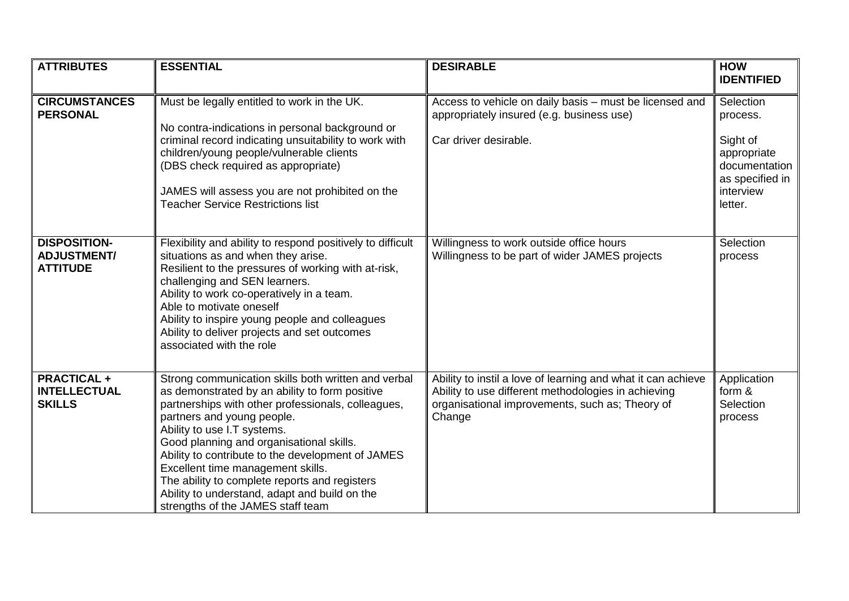| <b>ATTRIBUTES</b>                                            | <b>ESSENTIAL</b>                                                                                                                                                                                                                                                                                                                                                                                                                                                                                      | <b>DESIRABLE</b>                                                                                                                                                                 | <b>HOW</b><br><b>IDENTIFIED</b>                                                                              |
|--------------------------------------------------------------|-------------------------------------------------------------------------------------------------------------------------------------------------------------------------------------------------------------------------------------------------------------------------------------------------------------------------------------------------------------------------------------------------------------------------------------------------------------------------------------------------------|----------------------------------------------------------------------------------------------------------------------------------------------------------------------------------|--------------------------------------------------------------------------------------------------------------|
| <b>CIRCUMSTANCES</b><br><b>PERSONAL</b>                      | Must be legally entitled to work in the UK.<br>No contra-indications in personal background or<br>criminal record indicating unsuitability to work with<br>children/young people/vulnerable clients<br>(DBS check required as appropriate)<br>JAMES will assess you are not prohibited on the<br><b>Teacher Service Restrictions list</b>                                                                                                                                                             | Access to vehicle on daily basis - must be licensed and<br>appropriately insured (e.g. business use)<br>Car driver desirable.                                                    | Selection<br>process.<br>Sight of<br>appropriate<br>documentation<br>as specified in<br>interview<br>letter. |
| <b>DISPOSITION-</b><br><b>ADJUSTMENT/</b><br><b>ATTITUDE</b> | Flexibility and ability to respond positively to difficult<br>situations as and when they arise.<br>Resilient to the pressures of working with at-risk,<br>challenging and SEN learners.<br>Ability to work co-operatively in a team.<br>Able to motivate oneself<br>Ability to inspire young people and colleagues<br>Ability to deliver projects and set outcomes<br>associated with the role                                                                                                       | Willingness to work outside office hours<br>Willingness to be part of wider JAMES projects                                                                                       | Selection<br>process                                                                                         |
| <b>PRACTICAL +</b><br><b>INTELLECTUAL</b><br><b>SKILLS</b>   | Strong communication skills both written and verbal<br>as demonstrated by an ability to form positive<br>partnerships with other professionals, colleagues,<br>partners and young people.<br>Ability to use I.T systems.<br>Good planning and organisational skills.<br>Ability to contribute to the development of JAMES<br>Excellent time management skills.<br>The ability to complete reports and registers<br>Ability to understand, adapt and build on the<br>strengths of the JAMES staff team | Ability to instil a love of learning and what it can achieve<br>Ability to use different methodologies in achieving<br>organisational improvements, such as; Theory of<br>Change | Application<br>form &<br>Selection<br>process                                                                |